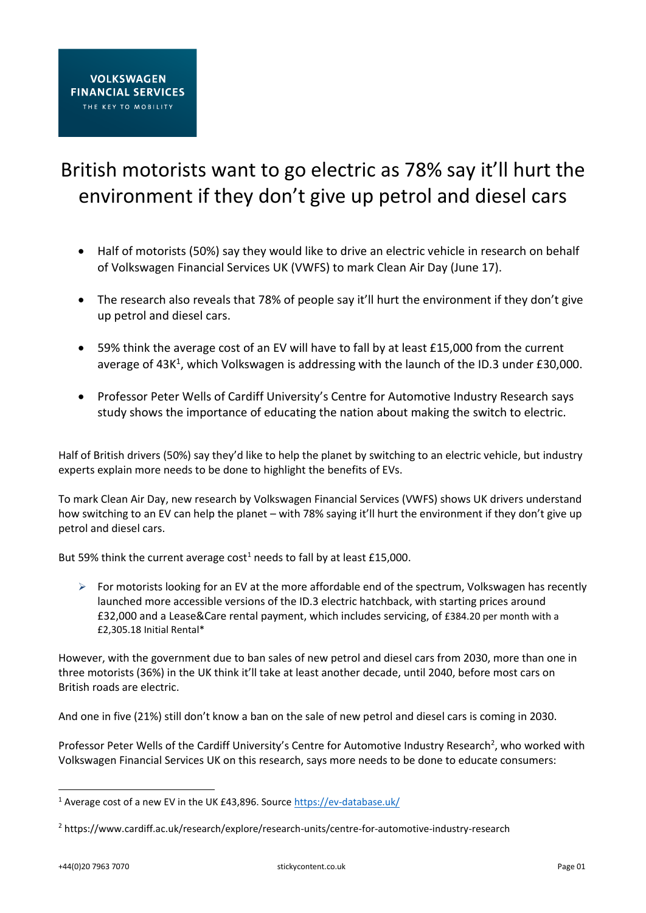## British motorists want to go electric as 78% say it'll hurt the environment if they don't give up petrol and diesel cars

- Half of motorists (50%) say they would like to drive an electric vehicle in research on behalf of Volkswagen Financial Services UK (VWFS) to mark Clean Air Day (June 17).
- The research also reveals that 78% of people say it'll hurt the environment if they don't give up petrol and diesel cars.
- 59% think the average cost of an EV will have to fall by at least £15,000 from the current average of 43K<sup>1</sup>, which Volkswagen is addressing with the launch of the ID.3 under £30,000.
- Professor Peter Wells of Cardiff University's Centre for Automotive Industry Research says study shows the importance of educating the nation about making the switch to electric.

Half of British drivers (50%) say they'd like to help the planet by switching to an electric vehicle, but industry experts explain more needs to be done to highlight the benefits of EVs.

To mark Clean Air Day, new research by Volkswagen Financial Services (VWFS) shows UK drivers understand how switching to an EV can help the planet – with 78% saying it'll hurt the environment if they don't give up petrol and diesel cars.

But 59% think the current average  $cost<sup>1</sup>$  needs to fall by at least £15,000.

 $\triangleright$  For motorists looking for an EV at the more affordable end of the spectrum, Volkswagen has recently launched more accessible versions of the ID.3 electric hatchback, with starting prices around £32,000 and a Lease&Care rental payment, which includes servicing, of £384.20 per month with a £2,305.18 Initial Rental\*

However, with the government due to ban sales of new petrol and diesel cars from 2030, more than one in three motorists (36%) in the UK think it'll take at least another decade, until 2040, before most cars on British roads are electric.

And one in five (21%) still don't know a ban on the sale of new petrol and diesel cars is coming in 2030.

Professor Peter Wells of the Cardiff University's Centre for Automotive Industry Research<sup>2</sup>, who worked with Volkswagen Financial Services UK on this research, says more needs to be done to educate consumers:

 $\overline{a}$ 

<sup>&</sup>lt;sup>1</sup> Average cost of a new EV in the UK £43,896. Source<https://ev-database.uk/>

<sup>2</sup> https://www.cardiff.ac.uk/research/explore/research-units/centre-for-automotive-industry-research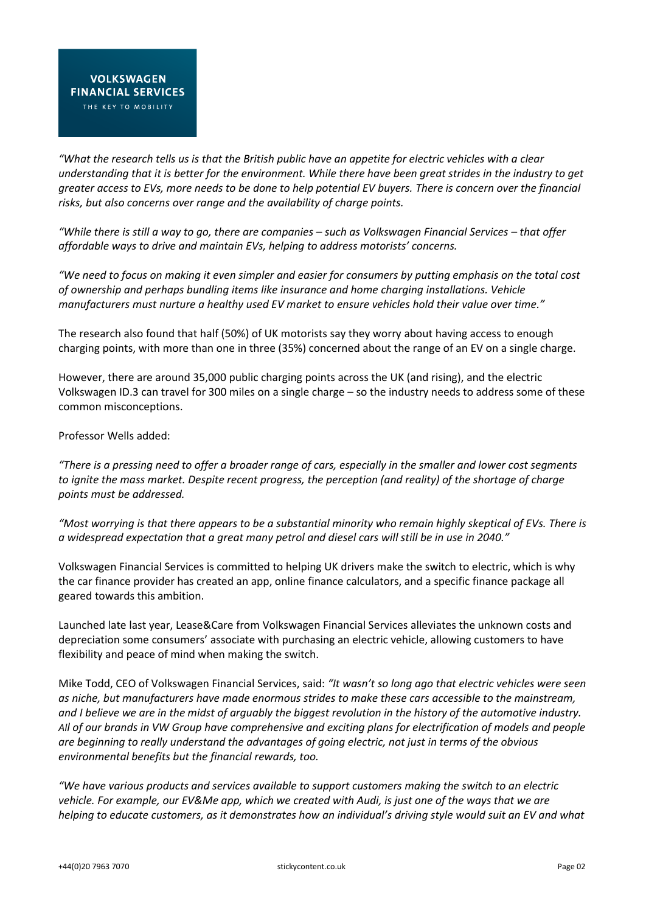*"What the research tells us is that the British public have an appetite for electric vehicles with a clear understanding that it is better for the environment. While there have been great strides in the industry to get greater access to EVs, more needs to be done to help potential EV buyers. There is concern over the financial risks, but also concerns over range and the availability of charge points.*

*"While there is still a way to go, there are companies – such as Volkswagen Financial Services – that offer affordable ways to drive and maintain EVs, helping to address motorists' concerns.*

*"We need to focus on making it even simpler and easier for consumers by putting emphasis on the total cost of ownership and perhaps bundling items like insurance and home charging installations. Vehicle manufacturers must nurture a healthy used EV market to ensure vehicles hold their value over time."*

The research also found that half (50%) of UK motorists say they worry about having access to enough charging points, with more than one in three (35%) concerned about the range of an EV on a single charge.

However, there are around 35,000 public charging points across the UK (and rising), and the electric Volkswagen ID.3 can travel for 300 miles on a single charge – so the industry needs to address some of these common misconceptions.

Professor Wells added:

*"There is a pressing need to offer a broader range of cars, especially in the smaller and lower cost segments to ignite the mass market. Despite recent progress, the perception (and reality) of the shortage of charge points must be addressed.*

*"Most worrying is that there appears to be a substantial minority who remain highly skeptical of EVs. There is a widespread expectation that a great many petrol and diesel cars will still be in use in 2040."*

Volkswagen Financial Services is committed to helping UK drivers make the switch to electric, which is why the car finance provider has created an app, online finance calculators, and a specific finance package all geared towards this ambition.

Launched late last year, Lease&Care from Volkswagen Financial Services alleviates the unknown costs and depreciation some consumers' associate with purchasing an electric vehicle, allowing customers to have flexibility and peace of mind when making the switch.

Mike Todd, CEO of Volkswagen Financial Services, said: *"It wasn't so long ago that electric vehicles were seen as niche, but manufacturers have made enormous strides to make these cars accessible to the mainstream, and I believe we are in the midst of arguably the biggest revolution in the history of the automotive industry. All of our brands in VW Group have comprehensive and exciting plans for electrification of models and people are beginning to really understand the advantages of going electric, not just in terms of the obvious environmental benefits but the financial rewards, too.*

*"We have various products and services available to support customers making the switch to an electric vehicle. For example, our EV&Me app, which we created with Audi, is just one of the ways that we are helping to educate customers, as it demonstrates how an individual's driving style would suit an EV and what*